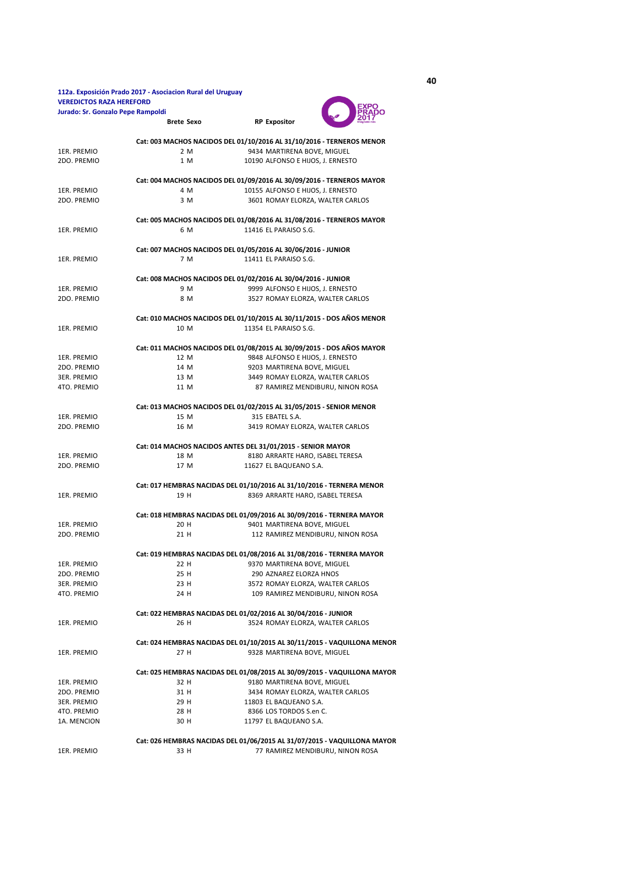## **112a. Exposición Prado 2017 - Asociacion Rural del Uruguay VEREDICTOS RAZA HEREFORD Jurado: Sr. Gonzalo Pepe Rampoldi**



|             | <b>Brete Sexo</b> | 2017<br><b>RP Expositor</b>                                              |
|-------------|-------------------|--------------------------------------------------------------------------|
|             |                   | Cat: 003 MACHOS NACIDOS DEL 01/10/2016 AL 31/10/2016 - TERNEROS MENOR    |
| 1ER. PREMIO | 2 M               | 9434 MARTIRENA BOVE, MIGUEL                                              |
| 2DO. PREMIO | 1 M               | 10190 ALFONSO E HIJOS, J. ERNESTO                                        |
|             |                   | Cat: 004 MACHOS NACIDOS DEL 01/09/2016 AL 30/09/2016 - TERNEROS MAYOR    |
| 1ER. PREMIO | 4 M               | 10155 ALFONSO E HIJOS, J. ERNESTO                                        |
| 2DO. PREMIO | 3 M               | 3601 ROMAY ELORZA, WALTER CARLOS                                         |
|             |                   | Cat: 005 MACHOS NACIDOS DEL 01/08/2016 AL 31/08/2016 - TERNEROS MAYOR    |
| 1ER. PREMIO | 6 M               | 11416 EL PARAISO S.G.                                                    |
|             |                   | Cat: 007 MACHOS NACIDOS DEL 01/05/2016 AL 30/06/2016 - JUNIOR            |
| 1ER. PREMIO | 7 M               | 11411 EL PARAISO S.G.                                                    |
|             |                   | Cat: 008 MACHOS NACIDOS DEL 01/02/2016 AL 30/04/2016 - JUNIOR            |
| 1ER. PREMIO | 9 M               | 9999 ALFONSO E HIJOS, J. ERNESTO                                         |
| 2DO. PREMIO | 8 M               | 3527 ROMAY ELORZA, WALTER CARLOS                                         |
|             |                   | Cat: 010 MACHOS NACIDOS DEL 01/10/2015 AL 30/11/2015 - DOS AÑOS MENOR    |
| 1ER. PREMIO | 10 M              | 11354 EL PARAISO S.G.                                                    |
|             |                   | Cat: 011 MACHOS NACIDOS DEL 01/08/2015 AL 30/09/2015 - DOS AÑOS MAYOR    |
| 1ER. PREMIO | 12 M              | 9848 ALFONSO E HIJOS, J. ERNESTO                                         |
| 2DO. PREMIO | 14 M              | 9203 MARTIRENA BOVE, MIGUEL                                              |
| 3ER. PREMIO | 13 M              | 3449 ROMAY ELORZA, WALTER CARLOS                                         |
| 4TO. PREMIO | 11 M              | 87 RAMIREZ MENDIBURU, NINON ROSA                                         |
|             |                   | Cat: 013 MACHOS NACIDOS DEL 01/02/2015 AL 31/05/2015 - SENIOR MENOR      |
| 1ER. PREMIO | 15 M              | 315 EBATEL S.A.                                                          |
| 2DO. PREMIO | 16 M              | 3419 ROMAY ELORZA, WALTER CARLOS                                         |
|             |                   | Cat: 014 MACHOS NACIDOS ANTES DEL 31/01/2015 - SENIOR MAYOR              |
| 1ER. PREMIO | 18 M              | 8180 ARRARTE HARO, ISABEL TERESA                                         |
| 2DO. PREMIO | 17 M              | 11627 EL BAQUEANO S.A.                                                   |
|             |                   | Cat: 017 HEMBRAS NACIDAS DEL 01/10/2016 AL 31/10/2016 - TERNERA MENOR    |
| 1ER. PREMIO | 19 H              | 8369 ARRARTE HARO, ISABEL TERESA                                         |
|             |                   | Cat: 018 HEMBRAS NACIDAS DEL 01/09/2016 AL 30/09/2016 - TERNERA MAYOR    |
| 1ER. PREMIO | 20 H              | 9401 MARTIRENA BOVE, MIGUEL                                              |
| 2DO. PREMIO | 21 H              | 112 RAMIREZ MENDIBURU, NINON ROSA                                        |
|             |                   | Cat: 019 HEMBRAS NACIDAS DEL 01/08/2016 AL 31/08/2016 - TERNERA MAYOR    |
| 1ER. PREMIO | 22 H              | 9370 MARTIRENA BOVE, MIGUEL                                              |
| 2DO. PREMIO | 25 H              | 290 AZNAREZ ELORZA HNOS                                                  |
| 3ER. PREMIO | 23 H              | 3572 ROMAY ELORZA, WALTER CARLOS                                         |
| 4TO. PREMIO | 24 H              | 109 RAMIREZ MENDIBURU, NINON ROSA                                        |
|             |                   | Cat: 022 HEMBRAS NACIDAS DEL 01/02/2016 AL 30/04/2016 - JUNIOR           |
| 1ER. PREMIO | 26 H              | 3524 ROMAY ELORZA, WALTER CARLOS                                         |
|             |                   | Cat: 024 HEMBRAS NACIDAS DEL 01/10/2015 AL 30/11/2015 - VAQUILLONA MENOR |
| 1ER. PREMIO | 27 H              | 9328 MARTIRENA BOVE, MIGUEL                                              |
|             |                   | Cat: 025 HEMBRAS NACIDAS DEL 01/08/2015 AL 30/09/2015 - VAQUILLONA MAYOR |
| 1ER. PREMIO | 32 H              | 9180 MARTIRENA BOVE, MIGUEL                                              |
| 2DO. PREMIO | 31 H              | 3434 ROMAY ELORZA, WALTER CARLOS                                         |
| 3ER. PREMIO | 29 H              | 11803 EL BAQUEANO S.A.                                                   |
| 4TO. PREMIO | 28 H              | 8366 LOS TORDOS S.en C.                                                  |
| 1A. MENCION | 30 H              | 11797 EL BAQUEANO S.A.                                                   |
|             |                   | Cat: 026 HEMBRAS NACIDAS DEL 01/06/2015 AL 31/07/2015 - VAQUILLONA MAYOR |
| 1ER. PREMIO | 33 H              | 77 RAMIREZ MENDIBURU, NINON ROSA                                         |